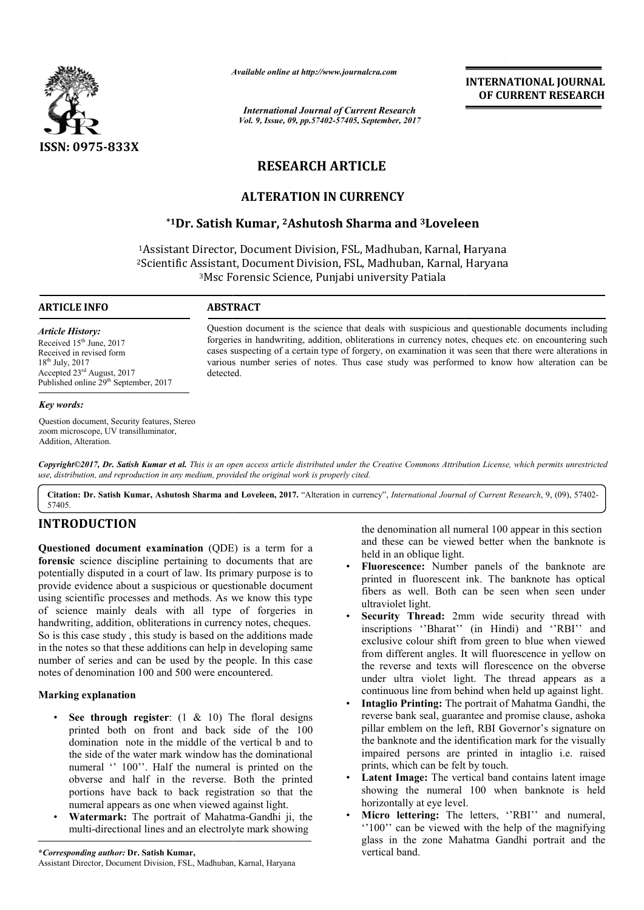

*Available online at http://www.journal http://www.journalcra.com*

*International Journal of Current Research Vol. 9, Issue, 09, pp.57402-57405, September, 2017* **INTERNATIONAL JOURNAL OF CURRENT RESEARCH** 

# **RESEARCH ARTICLE**

# **ALTERATION IN CURRENCY**

# **\*1Dr. Satish Kumar, 2Ashutosh Sharma and 3Loveleen Loveleen**

1Assistant Director, Document Division, FSL, Madhuban, Karnal, Haryana<br>?Scientific Assistant, Document Division, FSL, Madhuban, Karnal, Haryana 2Scientific Assistant, Document Scientific Division, FSL, Madhuban, Karnal, Haryana 3Msc Forensic Msc Science, Punjabi university Patiala

# **ARTICLE INFO ABSTRACT**

*Article History:* Received 15<sup>th</sup> June, 2017 Received in revised form 18th July, 2017 Accepted 23rd August, 2017 Published online 29<sup>th</sup> September, 2017

#### *Key words:*

Question document, Security features, Stereo zoom microscope, UV transilluminator, Addition, Alteration.

Question document is the science that deals with suspicious and questionable documents including Question document is the science that deals with suspicious and questionable documents including<br>forgeries in handwriting, addition, obliterations in currency notes, cheques etc. on encountering such cases suspecting of a certain type of forgery, on examination it was seen that there were alterations in cases suspecting of a certain type of forgery, on examination it was seen that there were alterations in various number series of notes. Thus case study was performed to know how alteration can be detected.

*Copyright©2017, Dr. Satish Kumar et al. This is an open access article distributed under the Creative Commons Att Attribution License, which ribution License, which permits unrestricted use, distribution, and reproduction in any medium, provided the original work is properly cited.*

**Citation: Dr. Satish Kumar, Ashutosh Sharma and Loveleen Loveleen, 2017.** "Alteration in currency", *International Journal of Current Research* , 9, (09), 57402-57405.

# **INTRODUCTION**

**Questioned document examination** (QDE) is a term for a **forensic** science discipline pertaining to documents that are potentially disputed in a court of law. Its primary purpose is to provide evidence about a suspicious or questionable document using scientific processes and methods. As we know this type of science mainly deals with all type of forgeries in handwriting, addition, obliterations in currency notes, cheques. So is this case study , this study is based on the additions made in the notes so that these additions can help in developing same number of series and can be used by the people. In this case notes of denomination 100 and 500 were encountered. ly deals with all type of forgeries in<br>ion, obliterations in currency notes, cheques.<br>Hy, this study is based on the additions made<br>t these additions can help in developing same<br>and can be used by the people. In this case document examination (QDE) is a term for a<br>
denomination all numeral 100 appear in this section<br>
ence discipline pertaining to documents that are<br>
the directional an onblique light.<br>
Sputed in a court of law. Its primary p

# **Marking explanation**

- **See through register**: (1 & 10) The floral designs printed both on front and back side of the 100 domination note in the middle of the vertical b and to the side of the water mark window has the dominational numeral " 100". Half the numeral is printed on the obverse and half in the reverse. Both the printed portions have back to back registration so that the numeral appears as one when viewed against light.
- Watermark: The portrait of Mahatma-Gandhi ji, the multi-directional lines and an electrolyte mark showing

and these can be viewed better when the banknote is held in an oblique light.

- **Fluorescence:** Number panels of the banknote are printed in fluorescent ink. The banknote has optical fibers as well. Both can be seen when seen under ultraviolet light. the denomination all numeral 100 appear in this section<br>and these can be viewed better when the banknote is<br>held in an oblique light.<br>**Fluorescence:** Number panels of the banknote are<br>printed in fluorescent ink. The bankno
- Security Thread: 2mm wide security thread with exclusive colour shift from green to blue when viewed exclusive colour shift from green to blue when viewed<br>from different angles. It will fluorescence in yellow on the reverse and texts will florescence on the obverse under ultra violet light. The thread appears as a continuous line from behind when held up against light. the reverse and texts will florescence on the obverse under ultra violet light. The thread appears as a continuous line from behind when held up against light. Intaglio Printing: The portrait of Mahatma Gandhi, the reverse **INTERNATIONAL JOURNAL**<br> **OF CURRENT RESEARCH**<br> **OF CURRENT RESEARCH**<br> **Starnal, Haryana**<br> **Karnal, Haryana**<br> **Karnal, Haryana**<br> **Karnal, Haryana**<br> **Example 18**<br> **Example 20**<br> **Example 20**<br> **Example 20**<br> **Example 20**<br> **Ex**
- **Intaglio Printing:** The portrait of Mahatma Gandhi, the reverse bank seal, guarantee and promi pillar emblem on the left, RBI Governor's signature on the banknote and the identification mark for the visually impaired persons are printed in intaglio i.e. raised prints, which can be felt by touch. pillar emblem on the left, RBI Governor's signature on<br>the banknote and the identification mark for the visually<br>impaired persons are printed in intaglio i.e. raised<br>prints, which can be felt by touch.<br>**Latent Image:** The
- showing the numeral 100 when banknote is held horizontally at eye level.
- **Micro lettering:** The letters, "RBI" and numeral, ''100'' can be viewed with the help of the magnifying glass in the zone Mahatma Gandhi portrait and the vertical band.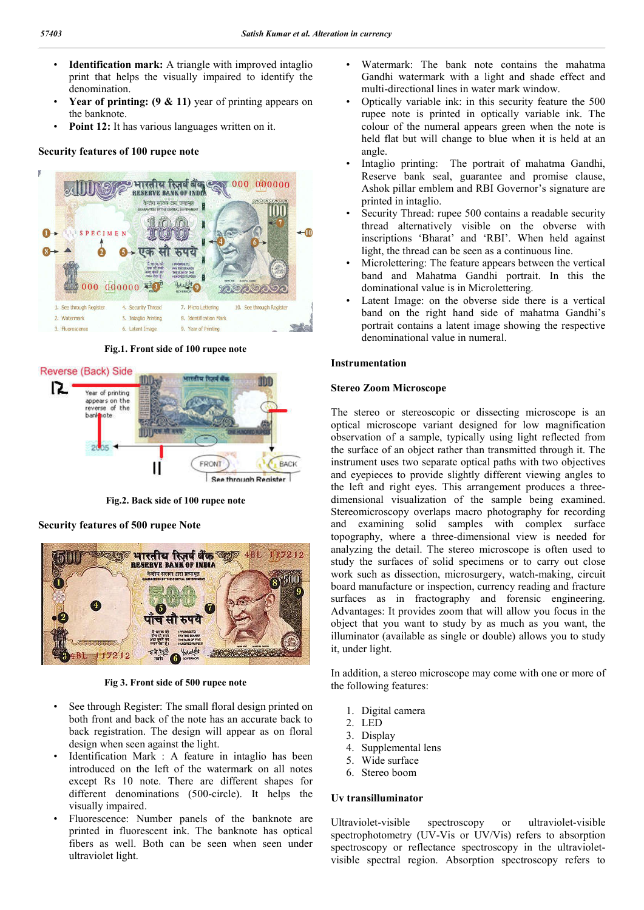- **Identification mark:** A triangle with improved intaglio print that helps the visually impaired to identify the denomination.
- **Year of printing: (9 & 11)** year of printing appears on the banknote.
- **Point 12:** It has various languages written on it.

#### **Security features of 100 rupee note**



**Fig.1. Front side of 100 rupee note**



**Fig.2. Back side of 100 rupee note**

**Security features of 500 rupee Note** 



#### **Fig 3. Front side of 500 rupee note**

- See through Register: The small floral design printed on both front and back of the note has an accurate back to back registration. The design will appear as on floral design when seen against the light.
- Identification Mark : A feature in intaglio has been introduced on the left of the watermark on all notes except Rs 10 note. There are different shapes for different denominations (500-circle). It helps the visually impaired.
- Fluorescence: Number panels of the banknote are printed in fluorescent ink. The banknote has optical fibers as well. Both can be seen when seen under ultraviolet light.
- Watermark: The bank note contains the mahatma Gandhi watermark with a light and shade effect and multi-directional lines in water mark window.
- Optically variable ink: in this security feature the 500 rupee note is printed in optically variable ink. The colour of the numeral appears green when the note is held flat but will change to blue when it is held at an angle.
- Intaglio printing: The portrait of mahatma Gandhi, Reserve bank seal, guarantee and promise clause, Ashok pillar emblem and RBI Governor's signature are printed in intaglio.
- Security Thread: rupee 500 contains a readable security thread alternatively visible on the obverse with inscriptions 'Bharat' and 'RBI'. When held against light, the thread can be seen as a continuous line.
- Microlettering: The feature appears between the vertical band and Mahatma Gandhi portrait. In this the dominational value is in Microlettering.
- Latent Image: on the obverse side there is a vertical band on the right hand side of mahatma Gandhi's portrait contains a latent image showing the respective denominational value in numeral.

### **Instrumentation**

### **Stereo Zoom Microscope**

The stereo or stereoscopic or dissecting microscope is an optical microscope variant designed for low magnification observation of a sample, typically using light reflected from the surface of an object rather than transmitted through it. The instrument uses two separate optical paths with two objectives and eyepieces to provide slightly different viewing angles to the left and right eyes. This arrangement produces a threedimensional visualization of the sample being examined. Stereomicroscopy overlaps macro photography for recording and examining solid samples with complex surface topography, where a three-dimensional view is needed for analyzing the detail. The stereo microscope is often used to study the surfaces of solid specimens or to carry out close work such as dissection, microsurgery, watch-making, circuit board manufacture or inspection, currency reading and fracture surfaces as in fractography and forensic engineering. Advantages: It provides zoom that will allow you focus in the object that you want to study by as much as you want, the illuminator (available as single or double) allows you to study it, under light.

In addition, a stereo microscope may come with one or more of the following features:

- 1. Digital camera
- 2. LED
- 3. Display
- 4. Supplemental lens
- 5. Wide surface
- 6. Stereo boom

# **Uv transilluminator**

Ultraviolet-visible spectroscopy or ultraviolet-visible spectrophotometry (UV-Vis or UV/Vis) refers to absorption spectroscopy or reflectance spectroscopy in the ultravioletvisible spectral region. Absorption spectroscopy refers to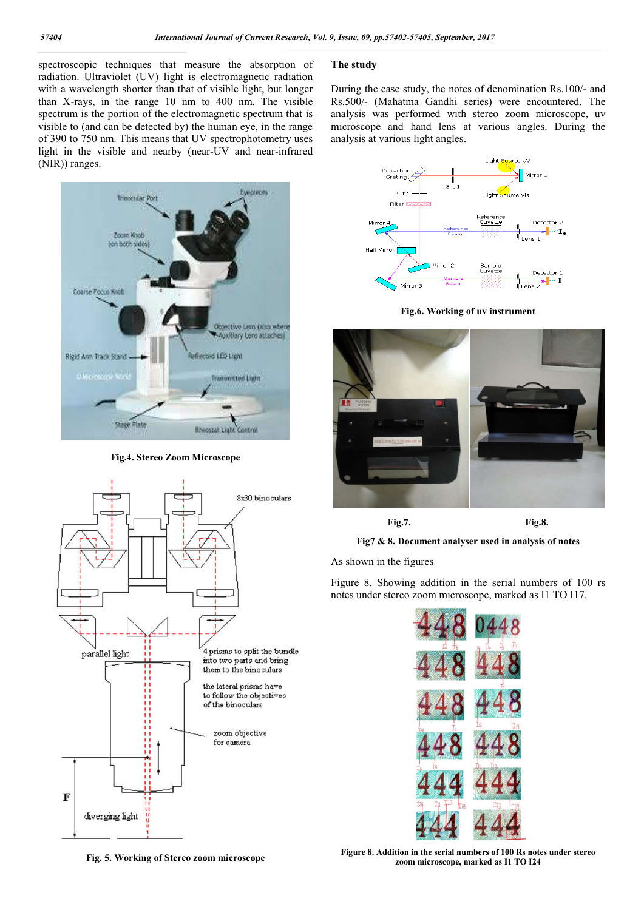spectroscopic techniques that measure the absorption of radiation. Ultraviolet (UV) light is electromagnetic radiation with a wavelength shorter than that of visible light, but longer than X-rays, in the range 10 nm to 400 nm. The visible spectrum is the portion of the electromagnetic spectrum that is visible to (and can be detected by) the human eye, in the range of 390 to 750 nm. This means that UV spectrophotometry uses light in the visible and nearby (near-UV and near-infrared (NIR)) ranges.



**Fig.4. Stereo Zoom Microscope**



## **The study**

During the case study, the notes of denomination Rs.100/- and Rs.500/- (Mahatma Gandhi series) were encountered. The analysis was performed with stereo zoom microscope, uv microscope and hand lens at various angles. During the analysis at various light angles.







**Fig.7. Fig.8.**

**Fig7 & 8. Document analyser used in analysis of notes**

As shown in the figures

Figure 8. Showing addition in the serial numbers of 100 rs notes under stereo zoom microscope, marked as I1 TO I17.



**Fig. 5. Working of Stereo zoom microscope**

**Figure 8. Addition in the serial numbers of 100 Rs notes under stereo zoom microscope, marked as I1 TO I24**